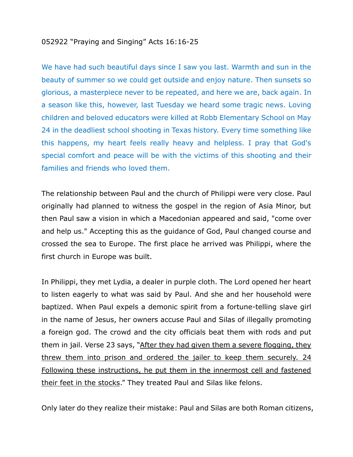## 052922 "Praying and Singing" Acts 16:16-25

We have had such beautiful days since I saw you last. Warmth and sun in the beauty of summer so we could get outside and enjoy nature. Then sunsets so glorious, a masterpiece never to be repeated, and here we are, back again. In a season like this, however, last Tuesday we heard some tragic news. Loving children and beloved educators were killed at Robb Elementary School on May 24 in the deadliest school shooting in Texas history. Every time something like this happens, my heart feels really heavy and helpless. I pray that God's special comfort and peace will be with the victims of this shooting and their families and friends who loved them.

The relationship between Paul and the church of Philippi were very close. Paul originally had planned to witness the gospel in the region of Asia Minor, but then Paul saw a vision in which a Macedonian appeared and said, "come over and help us." Accepting this as the guidance of God, Paul changed course and crossed the sea to Europe. The first place he arrived was Philippi, where the first church in Europe was built.

In Philippi, they met Lydia, a dealer in purple cloth. The Lord opened her heart to listen eagerly to what was said by Paul. And she and her household were baptized. When Paul expels a demonic spirit from a fortune-telling slave girl in the name of Jesus, her owners accuse Paul and Silas of illegally promoting a foreign god. The crowd and the city officials beat them with rods and put them in jail. Verse 23 says, "After they had given them a severe flogging, they threw them into prison and ordered the jailer to keep them securely. 24 Following these instructions, he put them in the innermost cell and fastened their feet in the stocks." They treated Paul and Silas like felons.

Only later do they realize their mistake: Paul and Silas are both Roman citizens,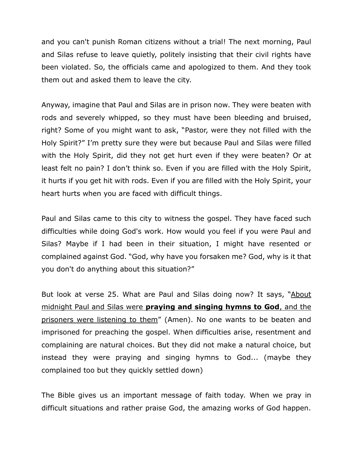and you can't punish Roman citizens without a trial! The next morning, Paul and Silas refuse to leave quietly, politely insisting that their civil rights have been violated. So, the officials came and apologized to them. And they took them out and asked them to leave the city.

Anyway, imagine that Paul and Silas are in prison now. They were beaten with rods and severely whipped, so they must have been bleeding and bruised, right? Some of you might want to ask, "Pastor, were they not filled with the Holy Spirit?" I'm pretty sure they were but because Paul and Silas were filled with the Holy Spirit, did they not get hurt even if they were beaten? Or at least felt no pain? I don't think so. Even if you are filled with the Holy Spirit, it hurts if you get hit with rods. Even if you are filled with the Holy Spirit, your heart hurts when you are faced with difficult things.

Paul and Silas came to this city to witness the gospel. They have faced such difficulties while doing God's work. How would you feel if you were Paul and Silas? Maybe if I had been in their situation, I might have resented or complained against God. "God, why have you forsaken me? God, why is it that you don't do anything about this situation?"

But look at verse 25. What are Paul and Silas doing now? It says, "About midnight Paul and Silas were **praying and singing hymns to God**, and the prisoners were listening to them" (Amen). No one wants to be beaten and imprisoned for preaching the gospel. When difficulties arise, resentment and complaining are natural choices. But they did not make a natural choice, but instead they were praying and singing hymns to God... (maybe they complained too but they quickly settled down)

The Bible gives us an important message of faith today. When we pray in difficult situations and rather praise God, the amazing works of God happen.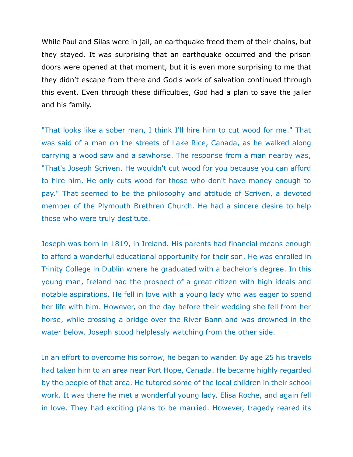While Paul and Silas were in jail, an earthquake freed them of their chains, but they stayed. It was surprising that an earthquake occurred and the prison doors were opened at that moment, but it is even more surprising to me that they didn't escape from there and God's work of salvation continued through this event. Even through these difficulties, God had a plan to save the jailer and his family.

"That looks like a sober man, I think I'll hire him to cut wood for me." That was said of a man on the streets of Lake Rice, Canada, as he walked along carrying a wood saw and a sawhorse. The response from a man nearby was, "That's Joseph Scriven. He wouldn't cut wood for you because you can afford to hire him. He only cuts wood for those who don't have money enough to pay." That seemed to be the philosophy and attitude of Scriven, a devoted member of the Plymouth Brethren Church. He had a sincere desire to help those who were truly destitute.

Joseph was born in 1819, in Ireland. His parents had financial means enough to afford a wonderful educational opportunity for their son. He was enrolled in Trinity College in Dublin where he graduated with a bachelor's degree. In this young man, Ireland had the prospect of a great citizen with high ideals and notable aspirations. He fell in love with a young lady who was eager to spend her life with him. However, on the day before their wedding she fell from her horse, while crossing a bridge over the River Bann and was drowned in the water below. Joseph stood helplessly watching from the other side.

In an effort to overcome his sorrow, he began to wander. By age 25 his travels had taken him to an area near Port Hope, Canada. He became highly regarded by the people of that area. He tutored some of the local children in their school work. It was there he met a wonderful young lady, Elisa Roche, and again fell in love. They had exciting plans to be married. However, tragedy reared its